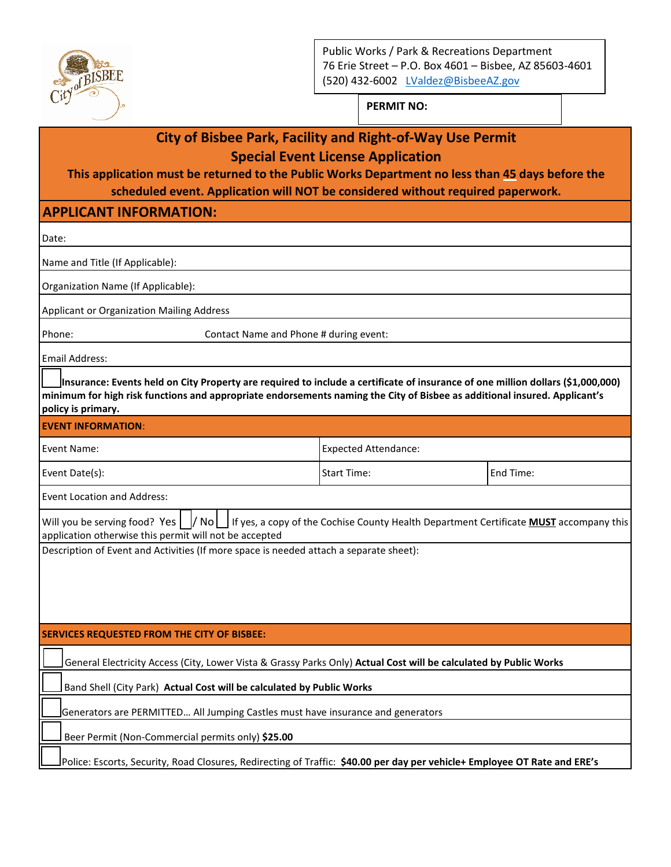

Public Works / Park & Recreations Department 76 Erie Street – P.O. Box 4601 – Bisbee, AZ 85603-4601 (520) 432-6002 [LValdez@BisbeeAZ.gov](mailto:LValdez@BisbeeAZ.gov)

**PERMIT NO:** 

| <b>City of Bisbee Park, Facility and Right-of-Way Use Permit</b>                                                                                                                                                                                                                   |                                        |           |  |  |
|------------------------------------------------------------------------------------------------------------------------------------------------------------------------------------------------------------------------------------------------------------------------------------|----------------------------------------|-----------|--|--|
| <b>Special Event License Application</b>                                                                                                                                                                                                                                           |                                        |           |  |  |
| This application must be returned to the Public Works Department no less than 45 days before the                                                                                                                                                                                   |                                        |           |  |  |
| scheduled event. Application will NOT be considered without required paperwork.                                                                                                                                                                                                    |                                        |           |  |  |
| <b>APPLICANT INFORMATION:</b>                                                                                                                                                                                                                                                      |                                        |           |  |  |
| Date:                                                                                                                                                                                                                                                                              |                                        |           |  |  |
| Name and Title (If Applicable):                                                                                                                                                                                                                                                    |                                        |           |  |  |
| Organization Name (If Applicable):                                                                                                                                                                                                                                                 |                                        |           |  |  |
| Applicant or Organization Mailing Address                                                                                                                                                                                                                                          |                                        |           |  |  |
| Phone:                                                                                                                                                                                                                                                                             | Contact Name and Phone # during event: |           |  |  |
| <b>Email Address:</b>                                                                                                                                                                                                                                                              |                                        |           |  |  |
| Insurance: Events held on City Property are required to include a certificate of insurance of one million dollars (\$1,000,000)<br>minimum for high risk functions and appropriate endorsements naming the City of Bisbee as additional insured. Applicant's<br>policy is primary. |                                        |           |  |  |
| <b>EVENT INFORMATION:</b>                                                                                                                                                                                                                                                          |                                        |           |  |  |
| Event Name:                                                                                                                                                                                                                                                                        | <b>Expected Attendance:</b>            |           |  |  |
| Event Date(s):                                                                                                                                                                                                                                                                     | <b>Start Time:</b>                     | End Time: |  |  |
| <b>Event Location and Address:</b>                                                                                                                                                                                                                                                 |                                        |           |  |  |
| Will you be serving food? Yes     No     If yes, a copy of the Cochise County Health Department Certificate MUST accompany this<br>application otherwise this permit will not be accepted                                                                                          |                                        |           |  |  |
| Description of Event and Activities (If more space is needed attach a separate sheet):                                                                                                                                                                                             |                                        |           |  |  |
|                                                                                                                                                                                                                                                                                    |                                        |           |  |  |
|                                                                                                                                                                                                                                                                                    |                                        |           |  |  |
| <b>SERVICES REQUESTED FROM THE CITY OF BISBEE:</b>                                                                                                                                                                                                                                 |                                        |           |  |  |
|                                                                                                                                                                                                                                                                                    |                                        |           |  |  |
| General Electricity Access (City, Lower Vista & Grassy Parks Only) Actual Cost will be calculated by Public Works                                                                                                                                                                  |                                        |           |  |  |
| Band Shell (City Park) Actual Cost will be calculated by Public Works                                                                                                                                                                                                              |                                        |           |  |  |
| Generators are PERMITTED All Jumping Castles must have insurance and generators                                                                                                                                                                                                    |                                        |           |  |  |
| Beer Permit (Non-Commercial permits only) \$25.00                                                                                                                                                                                                                                  |                                        |           |  |  |
| Police: Escorts, Security, Road Closures, Redirecting of Traffic: \$40.00 per day per vehicle+ Employee OT Rate and ERE's                                                                                                                                                          |                                        |           |  |  |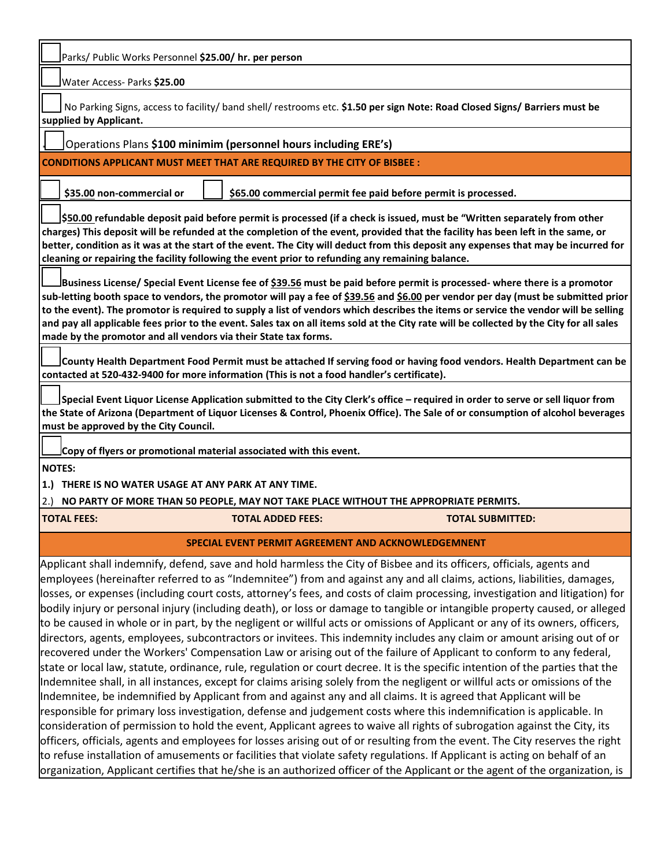| Water Access- Parks \$25.00                                                                                                                                                                                                                                                                                                                                                                                                                                                                                                                                                                                                  |                                                       |  |  |  |  |
|------------------------------------------------------------------------------------------------------------------------------------------------------------------------------------------------------------------------------------------------------------------------------------------------------------------------------------------------------------------------------------------------------------------------------------------------------------------------------------------------------------------------------------------------------------------------------------------------------------------------------|-------------------------------------------------------|--|--|--|--|
|                                                                                                                                                                                                                                                                                                                                                                                                                                                                                                                                                                                                                              | Parks/ Public Works Personnel \$25.00/ hr. per person |  |  |  |  |
| No Parking Signs, access to facility/ band shell/ restrooms etc. \$1.50 per sign Note: Road Closed Signs/ Barriers must be<br>supplied by Applicant.                                                                                                                                                                                                                                                                                                                                                                                                                                                                         |                                                       |  |  |  |  |
| Operations Plans \$100 minimim (personnel hours including ERE's)                                                                                                                                                                                                                                                                                                                                                                                                                                                                                                                                                             |                                                       |  |  |  |  |
| <b>CONDITIONS APPLICANT MUST MEET THAT ARE REQUIRED BY THE CITY OF BISBEE:</b>                                                                                                                                                                                                                                                                                                                                                                                                                                                                                                                                               |                                                       |  |  |  |  |
|                                                                                                                                                                                                                                                                                                                                                                                                                                                                                                                                                                                                                              |                                                       |  |  |  |  |
| \$35.00 non-commercial or<br>\$65.00 commercial permit fee paid before permit is processed.                                                                                                                                                                                                                                                                                                                                                                                                                                                                                                                                  |                                                       |  |  |  |  |
| \$50.00 refundable deposit paid before permit is processed (if a check is issued, must be "Written separately from other<br>charges) This deposit will be refunded at the completion of the event, provided that the facility has been left in the same, or<br>better, condition as it was at the start of the event. The City will deduct from this deposit any expenses that may be incurred for<br>cleaning or repairing the facility following the event prior to refunding any remaining balance.                                                                                                                       |                                                       |  |  |  |  |
| lBusiness License/ Special Event License fee of <u>\$39.56</u> must be paid before permit is processed- where there is a promotor<br>sub-letting booth space to vendors, the promotor will pay a fee of \$39.56 and \$6.00 per vendor per day (must be submitted prior<br>to the event). The promotor is required to supply a list of vendors which describes the items or service the vendor will be selling<br>and pay all applicable fees prior to the event. Sales tax on all items sold at the City rate will be collected by the City for all sales<br>made by the promotor and all vendors via their State tax forms. |                                                       |  |  |  |  |
| County Health Department Food Permit must be attached If serving food or having food vendors. Health Department can be<br>contacted at 520-432-9400 for more information (This is not a food handler's certificate).                                                                                                                                                                                                                                                                                                                                                                                                         |                                                       |  |  |  |  |
| Special Event Liquor License Application submitted to the City Clerk's office - required in order to serve or sell liquor from<br>the State of Arizona (Department of Liquor Licenses & Control, Phoenix Office). The Sale of or consumption of alcohol beverages<br>must be approved by the City Council.                                                                                                                                                                                                                                                                                                                   |                                                       |  |  |  |  |
| Copy of flyers or promotional material associated with this event.                                                                                                                                                                                                                                                                                                                                                                                                                                                                                                                                                           |                                                       |  |  |  |  |
|                                                                                                                                                                                                                                                                                                                                                                                                                                                                                                                                                                                                                              |                                                       |  |  |  |  |
| <b>NOTES:</b>                                                                                                                                                                                                                                                                                                                                                                                                                                                                                                                                                                                                                |                                                       |  |  |  |  |
| 1.) THERE IS NO WATER USAGE AT ANY PARK AT ANY TIME.                                                                                                                                                                                                                                                                                                                                                                                                                                                                                                                                                                         |                                                       |  |  |  |  |
| NO PARTY OF MORE THAN 50 PEOPLE, MAY NOT TAKE PLACE WITHOUT THE APPROPRIATE PERMITS.<br>2.                                                                                                                                                                                                                                                                                                                                                                                                                                                                                                                                   |                                                       |  |  |  |  |
| <b>TOTAL FEES:</b><br><b>TOTAL ADDED FEES:</b><br><b>TOTAL SUBMITTED:</b>                                                                                                                                                                                                                                                                                                                                                                                                                                                                                                                                                    |                                                       |  |  |  |  |
| <b>SPECIAL EVENT PERMIT AGREEMENT AND ACKNOWLEDGEMNENT</b><br>Applicant shall indemnify, defend, save and hold harmless the City of Bisbee and its officers, officials, agents and                                                                                                                                                                                                                                                                                                                                                                                                                                           |                                                       |  |  |  |  |

Е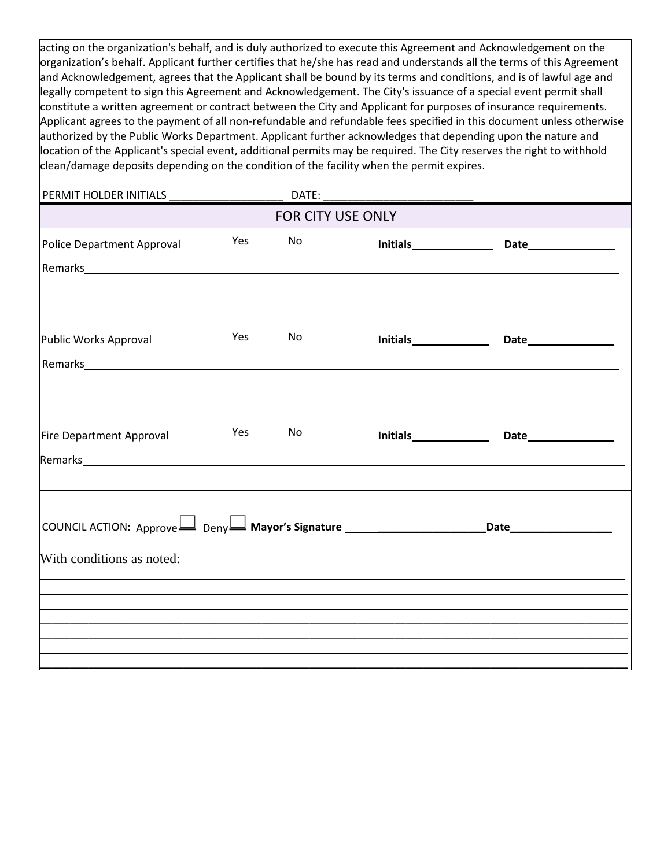acting on the organization's behalf, and is duly authorized to execute this Agreement and Acknowledgement on the organization's behalf. Applicant further certifies that he/she has read and understands all the terms of this Agreement and Acknowledgement, agrees that the Applicant shall be bound by its terms and conditions, and is of lawful age and legally competent to sign this Agreement and Acknowledgement. The City's issuance of a special event permit shall constitute a written agreement or contract between the City and Applicant for purposes of insurance requirements. Applicant agrees to the payment of all non-refundable and refundable fees specified in this document unless otherwise authorized by the Public Works Department. Applicant further acknowledges that depending upon the nature and location of the Applicant's special event, additional permits may be required. The City reserves the right to withhold clean/damage deposits depending on the condition of the facility when the permit expires.

| <b>FOR CITY USE ONLY</b>                                                                                                                                                                                                                                              |     |    |  |  |  |
|-----------------------------------------------------------------------------------------------------------------------------------------------------------------------------------------------------------------------------------------------------------------------|-----|----|--|--|--|
| Police Department Approval                                                                                                                                                                                                                                            | Yes | No |  |  |  |
|                                                                                                                                                                                                                                                                       |     |    |  |  |  |
| Public Works Approval                                                                                                                                                                                                                                                 | Yes | No |  |  |  |
| Fire Department Approval<br>Remarks <b>Example 2018</b> Remarks <b>Contract Contract Contract Contract Contract Contract Contract Contract Contract Contract Contract Contract Contract Contract Contract Contract Contract Contract Contract Contract Contract C</b> | Yes | No |  |  |  |
| COUNCIL ACTION: Approve $\Box$ Deny $\Box$ Mayor's Signature $\Box$ All Allen and Date<br>With conditions as noted:                                                                                                                                                   |     |    |  |  |  |
|                                                                                                                                                                                                                                                                       |     |    |  |  |  |
|                                                                                                                                                                                                                                                                       |     |    |  |  |  |
|                                                                                                                                                                                                                                                                       |     |    |  |  |  |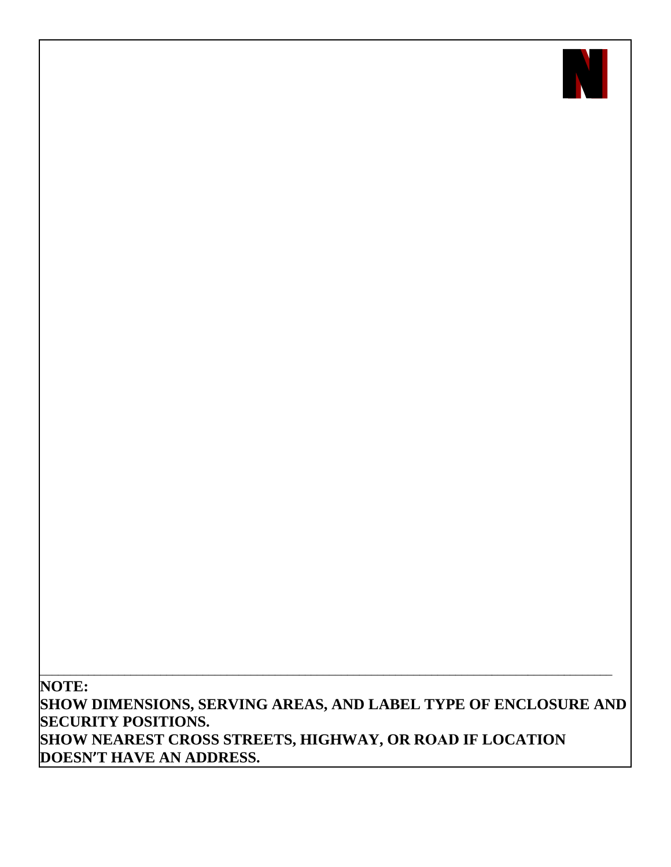

**NOTE: SHOW DIMENSIONS, SERVING AREAS, AND LABEL TYPE OF ENCLOSURE AND SECURITY POSITIONS. SHOW NEAREST CROSS STREETS, HIGHWAY, OR ROAD IF LOCATION DOESN'T HAVE AN ADDRESS.**

\_\_\_\_\_\_\_\_\_\_\_\_\_\_\_\_\_\_\_\_\_\_\_\_\_\_\_\_\_\_\_\_\_\_\_\_\_\_\_\_\_\_\_\_\_\_\_\_\_\_\_\_\_\_\_\_\_\_\_\_\_\_\_\_\_\_\_\_\_\_\_\_\_\_\_\_\_\_\_\_\_\_\_\_\_\_\_\_\_\_\_\_\_\_\_